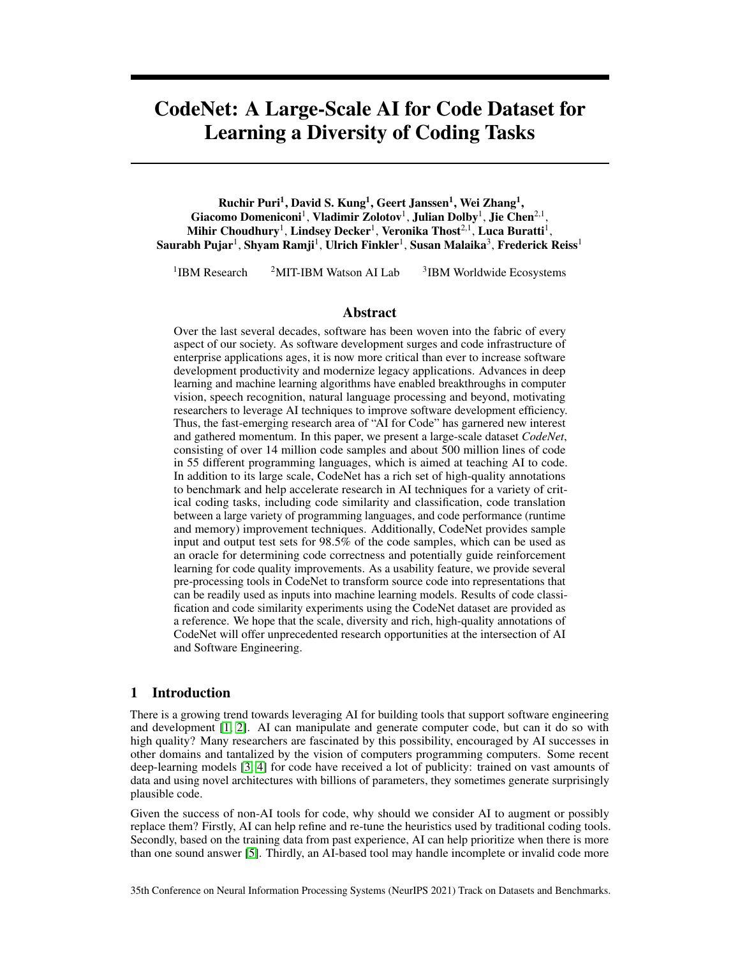# CodeNet: A Large-Scale AI for Code Dataset for Learning a Diversity of Coding Tasks

Ruchir Puri<sup>1</sup>, David S. Kung<sup>1</sup>, Geert Janssen<sup>1</sup>, Wei Zhang<sup>1</sup>, Giacomo Domeniconi<sup>1</sup>, Vladimir Zolotov<sup>1</sup>, Julian Dolby<sup>1</sup>, Jie Chen<sup>2,1</sup>, Mihir Choudhury $^{\rm l}$ , Lindsey Decker $^{\rm l}$ , Veronika Thost $^{2,1}$ , Luca Buratti $^{\rm l}$ , Saurabh Pujar $^1$ , Shyam Ramji $^1$ , Ulrich Finkler $^1$ , Susan Malaika $^3$ , Frederick Reiss $^1$ 

<sup>1</sup>IBM Research  $<sup>2</sup>$ MIT-IBM Watson AI Lab</sup>  $3$ IBM Worldwide Ecosystems

#### Abstract

Over the last several decades, software has been woven into the fabric of every aspect of our society. As software development surges and code infrastructure of enterprise applications ages, it is now more critical than ever to increase software development productivity and modernize legacy applications. Advances in deep learning and machine learning algorithms have enabled breakthroughs in computer vision, speech recognition, natural language processing and beyond, motivating researchers to leverage AI techniques to improve software development efficiency. Thus, the fast-emerging research area of "AI for Code" has garnered new interest and gathered momentum. In this paper, we present a large-scale dataset *CodeNet*, consisting of over 14 million code samples and about 500 million lines of code in 55 different programming languages, which is aimed at teaching AI to code. In addition to its large scale, CodeNet has a rich set of high-quality annotations to benchmark and help accelerate research in AI techniques for a variety of critical coding tasks, including code similarity and classification, code translation between a large variety of programming languages, and code performance (runtime and memory) improvement techniques. Additionally, CodeNet provides sample input and output test sets for 98.5% of the code samples, which can be used as an oracle for determining code correctness and potentially guide reinforcement learning for code quality improvements. As a usability feature, we provide several pre-processing tools in CodeNet to transform source code into representations that can be readily used as inputs into machine learning models. Results of code classification and code similarity experiments using the CodeNet dataset are provided as a reference. We hope that the scale, diversity and rich, high-quality annotations of CodeNet will offer unprecedented research opportunities at the intersection of AI and Software Engineering.

## 1 Introduction

There is a growing trend towards leveraging AI for building tools that support software engineering and development [\[1,](#page-9-0) [2\]](#page-9-1). AI can manipulate and generate computer code, but can it do so with high quality? Many researchers are fascinated by this possibility, encouraged by AI successes in other domains and tantalized by the vision of computers programming computers. Some recent deep-learning models [\[3,](#page-9-2) [4\]](#page-10-0) for code have received a lot of publicity: trained on vast amounts of data and using novel architectures with billions of parameters, they sometimes generate surprisingly plausible code.

Given the success of non-AI tools for code, why should we consider AI to augment or possibly replace them? Firstly, AI can help refine and re-tune the heuristics used by traditional coding tools. Secondly, based on the training data from past experience, AI can help prioritize when there is more than one sound answer [\[5\]](#page-10-1). Thirdly, an AI-based tool may handle incomplete or invalid code more

35th Conference on Neural Information Processing Systems (NeurIPS 2021) Track on Datasets and Benchmarks.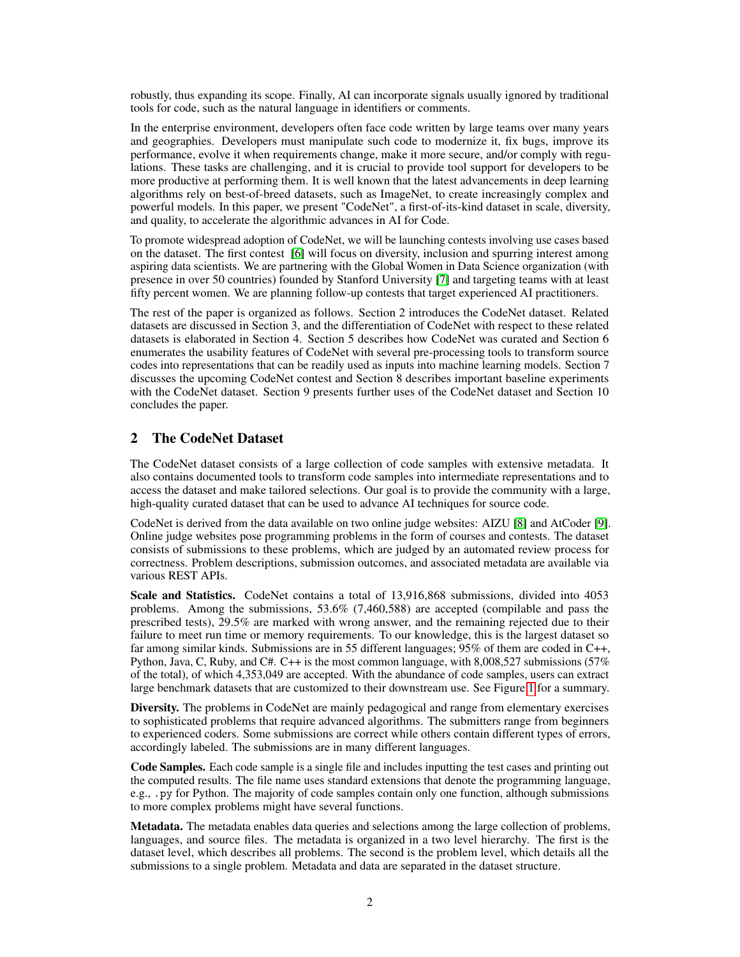robustly, thus expanding its scope. Finally, AI can incorporate signals usually ignored by traditional tools for code, such as the natural language in identifiers or comments.

In the enterprise environment, developers often face code written by large teams over many years and geographies. Developers must manipulate such code to modernize it, fix bugs, improve its performance, evolve it when requirements change, make it more secure, and/or comply with regulations. These tasks are challenging, and it is crucial to provide tool support for developers to be more productive at performing them. It is well known that the latest advancements in deep learning algorithms rely on best-of-breed datasets, such as ImageNet, to create increasingly complex and powerful models. In this paper, we present "CodeNet", a first-of-its-kind dataset in scale, diversity, and quality, to accelerate the algorithmic advances in AI for Code.

To promote widespread adoption of CodeNet, we will be launching contests involving use cases based on the dataset. The first contest [\[6\]](#page-10-2) will focus on diversity, inclusion and spurring interest among aspiring data scientists. We are partnering with the Global Women in Data Science organization (with presence in over 50 countries) founded by Stanford University [\[7\]](#page-10-3) and targeting teams with at least fifty percent women. We are planning follow-up contests that target experienced AI practitioners.

The rest of the paper is organized as follows. Section 2 introduces the CodeNet dataset. Related datasets are discussed in Section 3, and the differentiation of CodeNet with respect to these related datasets is elaborated in Section 4. Section 5 describes how CodeNet was curated and Section 6 enumerates the usability features of CodeNet with several pre-processing tools to transform source codes into representations that can be readily used as inputs into machine learning models. Section 7 discusses the upcoming CodeNet contest and Section 8 describes important baseline experiments with the CodeNet dataset. Section 9 presents further uses of the CodeNet dataset and Section 10 concludes the paper.

# 2 The CodeNet Dataset

The CodeNet dataset consists of a large collection of code samples with extensive metadata. It also contains documented tools to transform code samples into intermediate representations and to access the dataset and make tailored selections. Our goal is to provide the community with a large, high-quality curated dataset that can be used to advance AI techniques for source code.

CodeNet is derived from the data available on two online judge websites: AIZU [\[8\]](#page-10-4) and AtCoder [\[9\]](#page-10-5). Online judge websites pose programming problems in the form of courses and contests. The dataset consists of submissions to these problems, which are judged by an automated review process for correctness. Problem descriptions, submission outcomes, and associated metadata are available via various REST APIs.

Scale and Statistics. CodeNet contains a total of 13,916,868 submissions, divided into 4053 problems. Among the submissions, 53.6% (7,460,588) are accepted (compilable and pass the prescribed tests), 29.5% are marked with wrong answer, and the remaining rejected due to their failure to meet run time or memory requirements. To our knowledge, this is the largest dataset so far among similar kinds. Submissions are in 55 different languages; 95% of them are coded in C++, Python, Java, C, Ruby, and C#. C++ is the most common language, with 8,008,527 submissions (57% of the total), of which 4,353,049 are accepted. With the abundance of code samples, users can extract large benchmark datasets that are customized to their downstream use. See Figure [1](#page-2-0) for a summary.

Diversity. The problems in CodeNet are mainly pedagogical and range from elementary exercises to sophisticated problems that require advanced algorithms. The submitters range from beginners to experienced coders. Some submissions are correct while others contain different types of errors, accordingly labeled. The submissions are in many different languages.

Code Samples. Each code sample is a single file and includes inputting the test cases and printing out the computed results. The file name uses standard extensions that denote the programming language, e.g., .py for Python. The majority of code samples contain only one function, although submissions to more complex problems might have several functions.

Metadata. The metadata enables data queries and selections among the large collection of problems, languages, and source files. The metadata is organized in a two level hierarchy. The first is the dataset level, which describes all problems. The second is the problem level, which details all the submissions to a single problem. Metadata and data are separated in the dataset structure.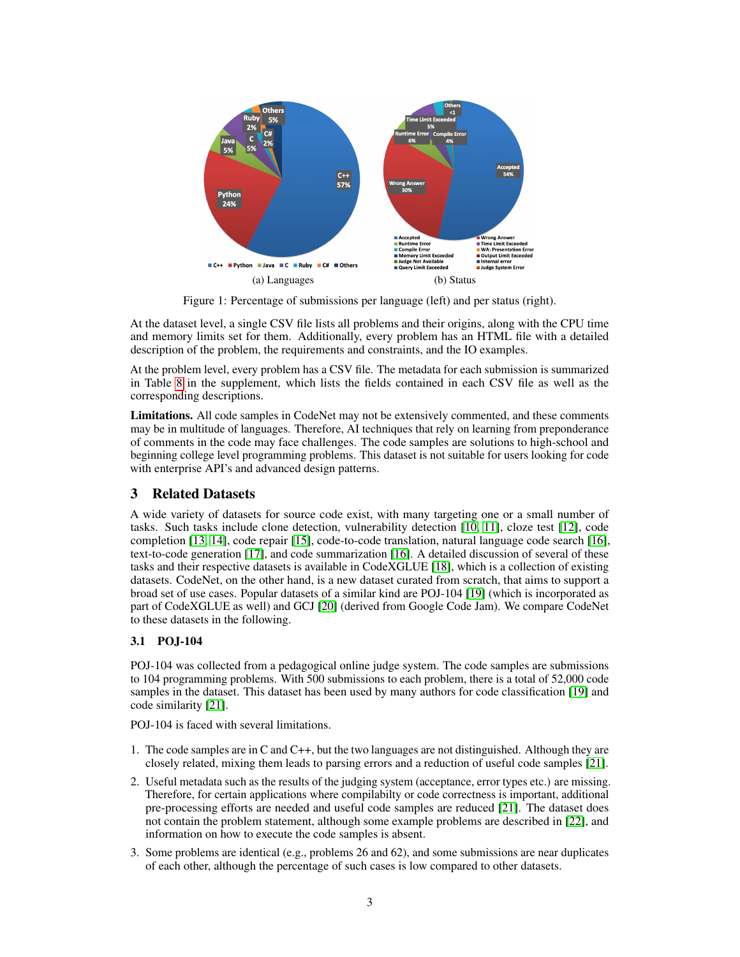<span id="page-2-0"></span>

Figure 1: Percentage of submissions per language (left) and per status (right).

At the dataset level, a single CSV file lists all problems and their origins, along with the CPU time and memory limits set for them. Additionally, every problem has an HTML file with a detailed description of the problem, the requirements and constraints, and the IO examples.

At the problem level, every problem has a CSV file. The metadata for each submission is summarized in Table [8](#page--1-0) in the supplement, which lists the fields contained in each CSV file as well as the corresponding descriptions.

Limitations. All code samples in CodeNet may not be extensively commented, and these comments may be in multitude of languages. Therefore, AI techniques that rely on learning from preponderance of comments in the code may face challenges. The code samples are solutions to high-school and beginning college level programming problems. This dataset is not suitable for users looking for code with enterprise API's and advanced design patterns.

## 3 Related Datasets

A wide variety of datasets for source code exist, with many targeting one or a small number of tasks. Such tasks include clone detection, vulnerability detection [\[10,](#page-10-6) [11\]](#page-10-7), cloze test [\[12\]](#page-10-8), code completion [\[13,](#page-10-9) [14\]](#page-10-10), code repair [\[15\]](#page-10-11), code-to-code translation, natural language code search [\[16\]](#page-10-12), text-to-code generation [\[17\]](#page-10-13), and code summarization [\[16\]](#page-10-12). A detailed discussion of several of these tasks and their respective datasets is available in CodeXGLUE [\[18\]](#page-10-14), which is a collection of existing datasets. CodeNet, on the other hand, is a new dataset curated from scratch, that aims to support a broad set of use cases. Popular datasets of a similar kind are POJ-104 [\[19\]](#page-10-15) (which is incorporated as part of CodeXGLUE as well) and GCJ [\[20\]](#page-10-16) (derived from Google Code Jam). We compare CodeNet to these datasets in the following.

## 3.1 POJ-104

POJ-104 was collected from a pedagogical online judge system. The code samples are submissions to 104 programming problems. With 500 submissions to each problem, there is a total of 52,000 code samples in the dataset. This dataset has been used by many authors for code classification [\[19\]](#page-10-15) and code similarity [\[21\]](#page-11-0).

POJ-104 is faced with several limitations.

- 1. The code samples are in C and C++, but the two languages are not distinguished. Although they are closely related, mixing them leads to parsing errors and a reduction of useful code samples [\[21\]](#page-11-0).
- 2. Useful metadata such as the results of the judging system (acceptance, error types etc.) are missing. Therefore, for certain applications where compilabilty or code correctness is important, additional pre-processing efforts are needed and useful code samples are reduced [\[21\]](#page-11-0). The dataset does not contain the problem statement, although some example problems are described in [\[22\]](#page-11-1), and information on how to execute the code samples is absent.
- 3. Some problems are identical (e.g., problems 26 and 62), and some submissions are near duplicates of each other, although the percentage of such cases is low compared to other datasets.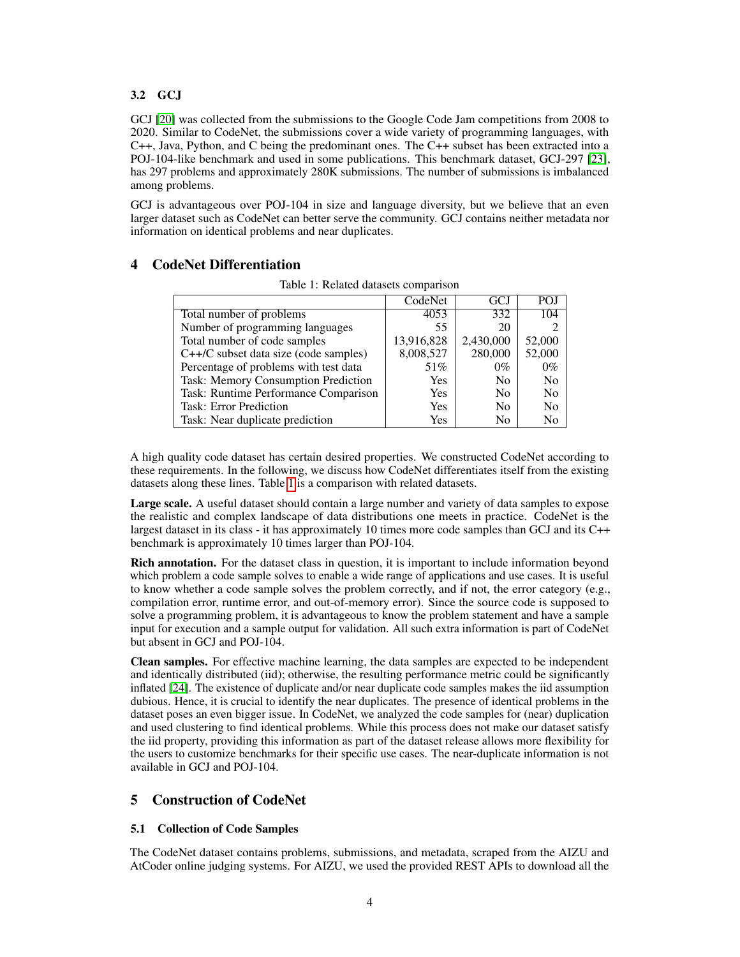#### 3.2 GCJ

GCJ [\[20\]](#page-10-16) was collected from the submissions to the Google Code Jam competitions from 2008 to 2020. Similar to CodeNet, the submissions cover a wide variety of programming languages, with C++, Java, Python, and C being the predominant ones. The C++ subset has been extracted into a POJ-104-like benchmark and used in some publications. This benchmark dataset, GCJ-297 [\[23\]](#page-11-2), has 297 problems and approximately 280K submissions. The number of submissions is imbalanced among problems.

GCJ is advantageous over POJ-104 in size and language diversity, but we believe that an even larger dataset such as CodeNet can better serve the community. GCJ contains neither metadata nor information on identical problems and near duplicates.

## <span id="page-3-1"></span><span id="page-3-0"></span>4 CodeNet Differentiation

|                                         | CodeNet    | GCJ            | POJ            |
|-----------------------------------------|------------|----------------|----------------|
| Total number of problems                | 4053       | 332            | 104            |
| Number of programming languages         | 55         | 20             |                |
| Total number of code samples            | 13,916,828 | 2,430,000      | 52,000         |
| $C++/C$ subset data size (code samples) | 8,008,527  | 280,000        | 52,000         |
| Percentage of problems with test data   | 51%        | $0\%$          | $0\%$          |
| Task: Memory Consumption Prediction     | <b>Yes</b> | N <sub>0</sub> | N <sub>0</sub> |
| Task: Runtime Performance Comparison    | <b>Yes</b> | N <sub>0</sub> | No             |
| <b>Task: Error Prediction</b>           | <b>Yes</b> | N <sub>0</sub> | No             |
| Task: Near duplicate prediction         | Yes        | No             | No             |

Table 1: Related datasets comparison

A high quality code dataset has certain desired properties. We constructed CodeNet according to these requirements. In the following, we discuss how CodeNet differentiates itself from the existing datasets along these lines. Table [1](#page-3-0) is a comparison with related datasets.

Large scale. A useful dataset should contain a large number and variety of data samples to expose the realistic and complex landscape of data distributions one meets in practice. CodeNet is the largest dataset in its class - it has approximately 10 times more code samples than GCJ and its C++ benchmark is approximately 10 times larger than POJ-104.

**Rich annotation.** For the dataset class in question, it is important to include information beyond which problem a code sample solves to enable a wide range of applications and use cases. It is useful to know whether a code sample solves the problem correctly, and if not, the error category (e.g., compilation error, runtime error, and out-of-memory error). Since the source code is supposed to solve a programming problem, it is advantageous to know the problem statement and have a sample input for execution and a sample output for validation. All such extra information is part of CodeNet but absent in GCJ and POJ-104.

Clean samples. For effective machine learning, the data samples are expected to be independent and identically distributed (iid); otherwise, the resulting performance metric could be significantly inflated [\[24\]](#page-11-3). The existence of duplicate and/or near duplicate code samples makes the iid assumption dubious. Hence, it is crucial to identify the near duplicates. The presence of identical problems in the dataset poses an even bigger issue. In CodeNet, we analyzed the code samples for (near) duplication and used clustering to find identical problems. While this process does not make our dataset satisfy the iid property, providing this information as part of the dataset release allows more flexibility for the users to customize benchmarks for their specific use cases. The near-duplicate information is not available in GCJ and POJ-104.

## 5 Construction of CodeNet

#### 5.1 Collection of Code Samples

The CodeNet dataset contains problems, submissions, and metadata, scraped from the AIZU and AtCoder online judging systems. For AIZU, we used the provided REST APIs to download all the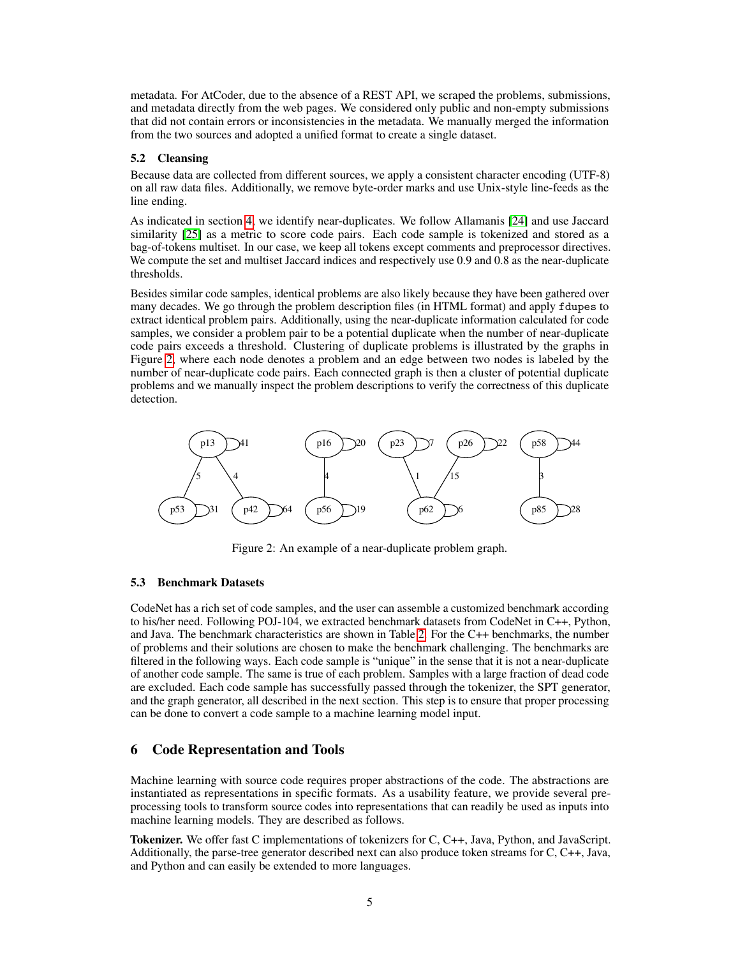metadata. For AtCoder, due to the absence of a REST API, we scraped the problems, submissions, and metadata directly from the web pages. We considered only public and non-empty submissions that did not contain errors or inconsistencies in the metadata. We manually merged the information from the two sources and adopted a unified format to create a single dataset.

#### <span id="page-4-1"></span>5.2 Cleansing

Because data are collected from different sources, we apply a consistent character encoding (UTF-8) on all raw data files. Additionally, we remove byte-order marks and use Unix-style line-feeds as the line ending.

As indicated in section [4,](#page-3-1) we identify near-duplicates. We follow Allamanis [\[24\]](#page-11-3) and use Jaccard similarity [\[25\]](#page-11-4) as a metric to score code pairs. Each code sample is tokenized and stored as a bag-of-tokens multiset. In our case, we keep all tokens except comments and preprocessor directives. We compute the set and multiset Jaccard indices and respectively use 0.9 and 0.8 as the near-duplicate thresholds.

Besides similar code samples, identical problems are also likely because they have been gathered over many decades. We go through the problem description files (in HTML format) and apply fdupes to extract identical problem pairs. Additionally, using the near-duplicate information calculated for code samples, we consider a problem pair to be a potential duplicate when the number of near-duplicate code pairs exceeds a threshold. Clustering of duplicate problems is illustrated by the graphs in Figure [2,](#page-4-0) where each node denotes a problem and an edge between two nodes is labeled by the number of near-duplicate code pairs. Each connected graph is then a cluster of potential duplicate problems and we manually inspect the problem descriptions to verify the correctness of this duplicate detection.

<span id="page-4-0"></span>

Figure 2: An example of a near-duplicate problem graph.

#### 5.3 Benchmark Datasets

CodeNet has a rich set of code samples, and the user can assemble a customized benchmark according to his/her need. Following POJ-104, we extracted benchmark datasets from CodeNet in C++, Python, and Java. The benchmark characteristics are shown in Table [2.](#page-5-0) For the C++ benchmarks, the number of problems and their solutions are chosen to make the benchmark challenging. The benchmarks are filtered in the following ways. Each code sample is "unique" in the sense that it is not a near-duplicate of another code sample. The same is true of each problem. Samples with a large fraction of dead code are excluded. Each code sample has successfully passed through the tokenizer, the SPT generator, and the graph generator, all described in the next section. This step is to ensure that proper processing can be done to convert a code sample to a machine learning model input.

# 6 Code Representation and Tools

Machine learning with source code requires proper abstractions of the code. The abstractions are instantiated as representations in specific formats. As a usability feature, we provide several preprocessing tools to transform source codes into representations that can readily be used as inputs into machine learning models. They are described as follows.

Tokenizer. We offer fast C implementations of tokenizers for C, C++, Java, Python, and JavaScript. Additionally, the parse-tree generator described next can also produce token streams for C, C++, Java, and Python and can easily be extended to more languages.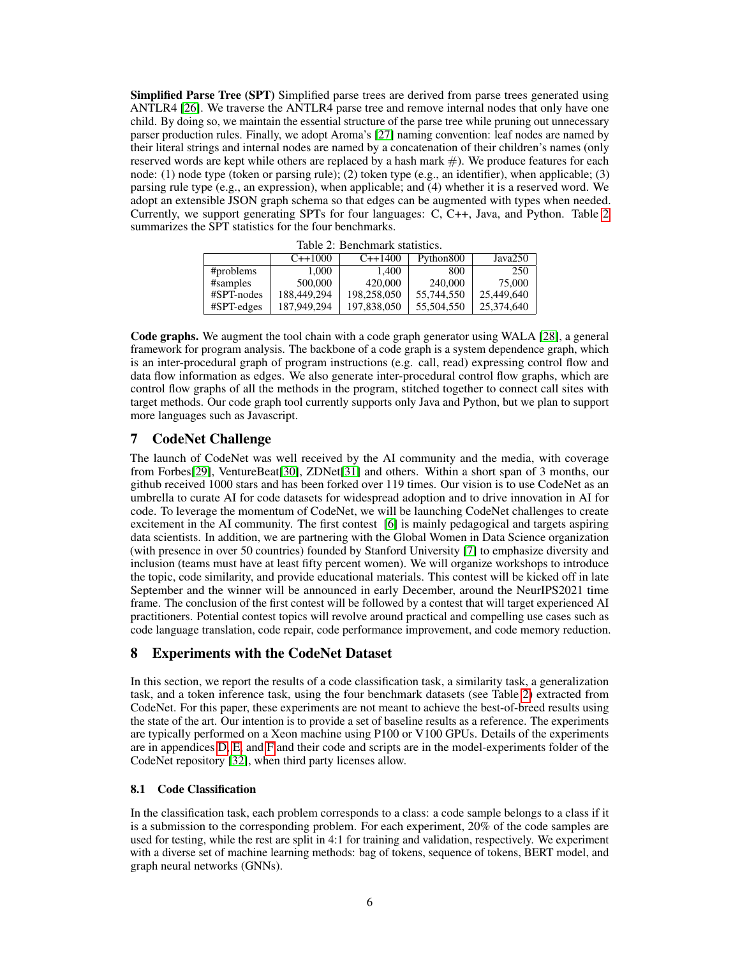Simplified Parse Tree (SPT) Simplified parse trees are derived from parse trees generated using ANTLR4 [\[26\]](#page-11-5). We traverse the ANTLR4 parse tree and remove internal nodes that only have one child. By doing so, we maintain the essential structure of the parse tree while pruning out unnecessary parser production rules. Finally, we adopt Aroma's [\[27\]](#page-11-6) naming convention: leaf nodes are named by their literal strings and internal nodes are named by a concatenation of their children's names (only reserved words are kept while others are replaced by a hash mark  $#$ ). We produce features for each node: (1) node type (token or parsing rule); (2) token type (e.g., an identifier), when applicable; (3) parsing rule type (e.g., an expression), when applicable; and (4) whether it is a reserved word. We adopt an extensible JSON graph schema so that edges can be augmented with types when needed. Currently, we support generating SPTs for four languages: C, C++, Java, and Python. Table [2](#page-5-0) summarizes the SPT statistics for the four benchmarks.

<span id="page-5-0"></span>

| Table 2. Dellemiatik statistics. |             |             |            |            |  |
|----------------------------------|-------------|-------------|------------|------------|--|
|                                  | $C+1000$    | $C++1400$   | Python800  | Java250    |  |
| #problems                        | 1.000       | 1.400       | 800        | 250        |  |
| #samples                         | 500,000     | 420,000     | 240,000    | 75,000     |  |
| #SPT-nodes                       | 188,449,294 | 198,258,050 | 55,744,550 | 25,449,640 |  |
| $#SPT$ -edges                    | 187,949,294 | 197,838,050 | 55,504,550 | 25,374,640 |  |

Table 2: Benchmark statistics.

Code graphs. We augment the tool chain with a code graph generator using WALA [\[28\]](#page-11-7), a general framework for program analysis. The backbone of a code graph is a system dependence graph, which is an inter-procedural graph of program instructions (e.g. call, read) expressing control flow and data flow information as edges. We also generate inter-procedural control flow graphs, which are control flow graphs of all the methods in the program, stitched together to connect call sites with target methods. Our code graph tool currently supports only Java and Python, but we plan to support more languages such as Javascript.

## 7 CodeNet Challenge

The launch of CodeNet was well received by the AI community and the media, with coverage from Forbes[\[29\]](#page-11-8), VentureBeat[\[30\]](#page-11-9), ZDNet[\[31\]](#page-11-10) and others. Within a short span of 3 months, our github received 1000 stars and has been forked over 119 times. Our vision is to use CodeNet as an umbrella to curate AI for code datasets for widespread adoption and to drive innovation in AI for code. To leverage the momentum of CodeNet, we will be launching CodeNet challenges to create excitement in the AI community. The first contest [\[6\]](#page-10-2) is mainly pedagogical and targets aspiring data scientists. In addition, we are partnering with the Global Women in Data Science organization (with presence in over 50 countries) founded by Stanford University [\[7\]](#page-10-3) to emphasize diversity and inclusion (teams must have at least fifty percent women). We will organize workshops to introduce the topic, code similarity, and provide educational materials. This contest will be kicked off in late September and the winner will be announced in early December, around the NeurIPS2021 time frame. The conclusion of the first contest will be followed by a contest that will target experienced AI practitioners. Potential contest topics will revolve around practical and compelling use cases such as code language translation, code repair, code performance improvement, and code memory reduction.

## 8 Experiments with the CodeNet Dataset

In this section, we report the results of a code classification task, a similarity task, a generalization task, and a token inference task, using the four benchmark datasets (see Table [2\)](#page-5-0) extracted from CodeNet. For this paper, these experiments are not meant to achieve the best-of-breed results using the state of the art. Our intention is to provide a set of baseline results as a reference. The experiments are typically performed on a Xeon machine using P100 or V100 GPUs. Details of the experiments are in appendices [D,](#page--1-1) [E,](#page--1-2) and [F](#page--1-3) and their code and scripts are in the model-experiments folder of the CodeNet repository [\[32\]](#page-11-11), when third party licenses allow.

#### 8.1 Code Classification

In the classification task, each problem corresponds to a class: a code sample belongs to a class if it is a submission to the corresponding problem. For each experiment, 20% of the code samples are used for testing, while the rest are split in 4:1 for training and validation, respectively. We experiment with a diverse set of machine learning methods: bag of tokens, sequence of tokens, BERT model, and graph neural networks (GNNs).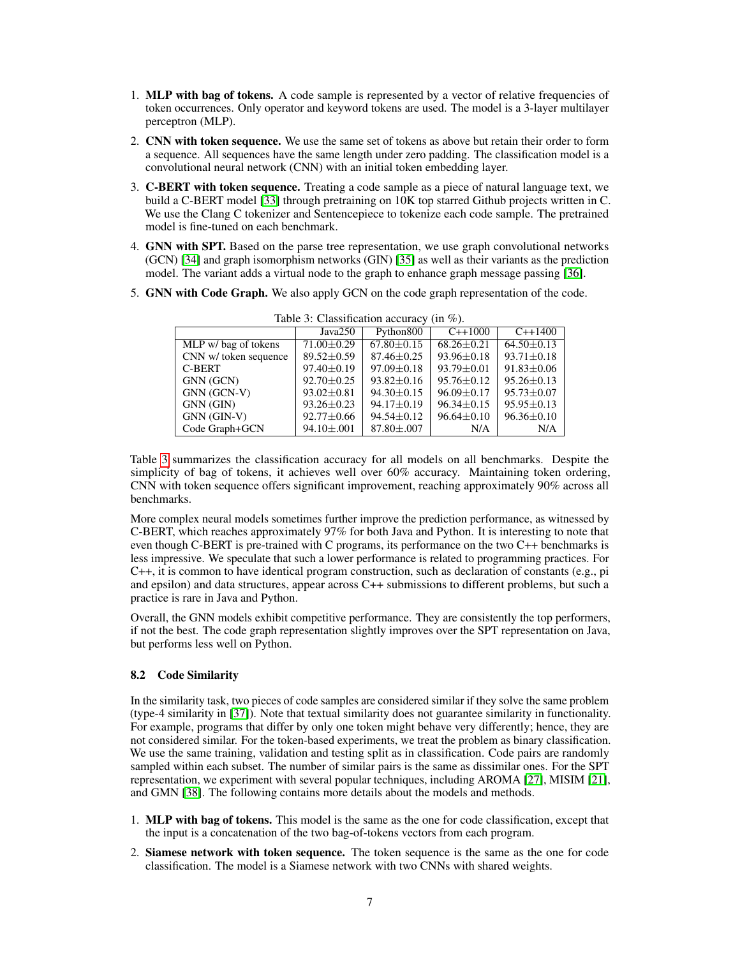- 1. MLP with bag of tokens. A code sample is represented by a vector of relative frequencies of token occurrences. Only operator and keyword tokens are used. The model is a 3-layer multilayer perceptron (MLP).
- 2. CNN with token sequence. We use the same set of tokens as above but retain their order to form a sequence. All sequences have the same length under zero padding. The classification model is a convolutional neural network (CNN) with an initial token embedding layer.
- 3. C-BERT with token sequence. Treating a code sample as a piece of natural language text, we build a C-BERT model [\[33\]](#page-11-12) through pretraining on 10K top starred Github projects written in C. We use the Clang C tokenizer and Sentencepiece to tokenize each code sample. The pretrained model is fine-tuned on each benchmark.
- 4. GNN with SPT. Based on the parse tree representation, we use graph convolutional networks (GCN) [\[34\]](#page-11-13) and graph isomorphism networks (GIN) [\[35\]](#page-11-14) as well as their variants as the prediction model. The variant adds a virtual node to the graph to enhance graph message passing [\[36\]](#page-11-15).
- <span id="page-6-0"></span>5. GNN with Code Graph. We also apply GCN on the code graph representation of the code.

|                       | Java250          | Python800        | $C_{++}1000$     | $C_{++}1400$     |
|-----------------------|------------------|------------------|------------------|------------------|
| MLP w/ bag of tokens  | $71.00 \pm 0.29$ | $67.80 \pm 0.15$ | $68.26 + 0.21$   | $64.50 + 0.13$   |
| CNN w/ token sequence | $89.52 + 0.59$   | $87.46 + 0.25$   | $93.96 + 0.18$   | $93.71 \pm 0.18$ |
| C-BERT                | $97.40 \pm 0.19$ | $97.09 + 0.18$   | $93.79 + 0.01$   | $91.83 \pm 0.06$ |
| GNN (GCN)             | $92.70 + 0.25$   | $93.82 + 0.16$   | $95.76 + 0.12$   | $95.26 + 0.13$   |
| GNN (GCN-V)           | $93.02 \pm 0.81$ | $94.30 \pm 0.15$ | $96.09 \pm 0.17$ | $95.73 + 0.07$   |
| GNN (GIN)             | $93.26 + 0.23$   | $94.17 + 0.19$   | $96.34 + 0.15$   | $95.95 + 0.13$   |
| GNN (GIN-V)           | $92.77 \pm 0.66$ | $94.54 \pm 0.12$ | $96.64 + 0.10$   | $96.36 \pm 0.10$ |
| Code Graph+GCN        | $94.10 \pm .001$ | $87.80 \pm .007$ | N/A              | N/A              |

|  | Table 3: Classification accuracy (in $\%$ ). |  |  |  |  |
|--|----------------------------------------------|--|--|--|--|
|--|----------------------------------------------|--|--|--|--|

Table [3](#page-6-0) summarizes the classification accuracy for all models on all benchmarks. Despite the simplicity of bag of tokens, it achieves well over 60% accuracy. Maintaining token ordering, CNN with token sequence offers significant improvement, reaching approximately 90% across all benchmarks.

More complex neural models sometimes further improve the prediction performance, as witnessed by C-BERT, which reaches approximately 97% for both Java and Python. It is interesting to note that even though C-BERT is pre-trained with C programs, its performance on the two C++ benchmarks is less impressive. We speculate that such a lower performance is related to programming practices. For  $C_{++}$ , it is common to have identical program construction, such as declaration of constants (e.g., pi and epsilon) and data structures, appear across C++ submissions to different problems, but such a practice is rare in Java and Python.

Overall, the GNN models exhibit competitive performance. They are consistently the top performers, if not the best. The code graph representation slightly improves over the SPT representation on Java, but performs less well on Python.

#### 8.2 Code Similarity

In the similarity task, two pieces of code samples are considered similar if they solve the same problem (type-4 similarity in [\[37\]](#page-11-16)). Note that textual similarity does not guarantee similarity in functionality. For example, programs that differ by only one token might behave very differently; hence, they are not considered similar. For the token-based experiments, we treat the problem as binary classification. We use the same training, validation and testing split as in classification. Code pairs are randomly sampled within each subset. The number of similar pairs is the same as dissimilar ones. For the SPT representation, we experiment with several popular techniques, including AROMA [\[27\]](#page-11-6), MISIM [\[21\]](#page-11-0), and GMN [\[38\]](#page-11-17). The following contains more details about the models and methods.

- 1. MLP with bag of tokens. This model is the same as the one for code classification, except that the input is a concatenation of the two bag-of-tokens vectors from each program.
- 2. Siamese network with token sequence. The token sequence is the same as the one for code classification. The model is a Siamese network with two CNNs with shared weights.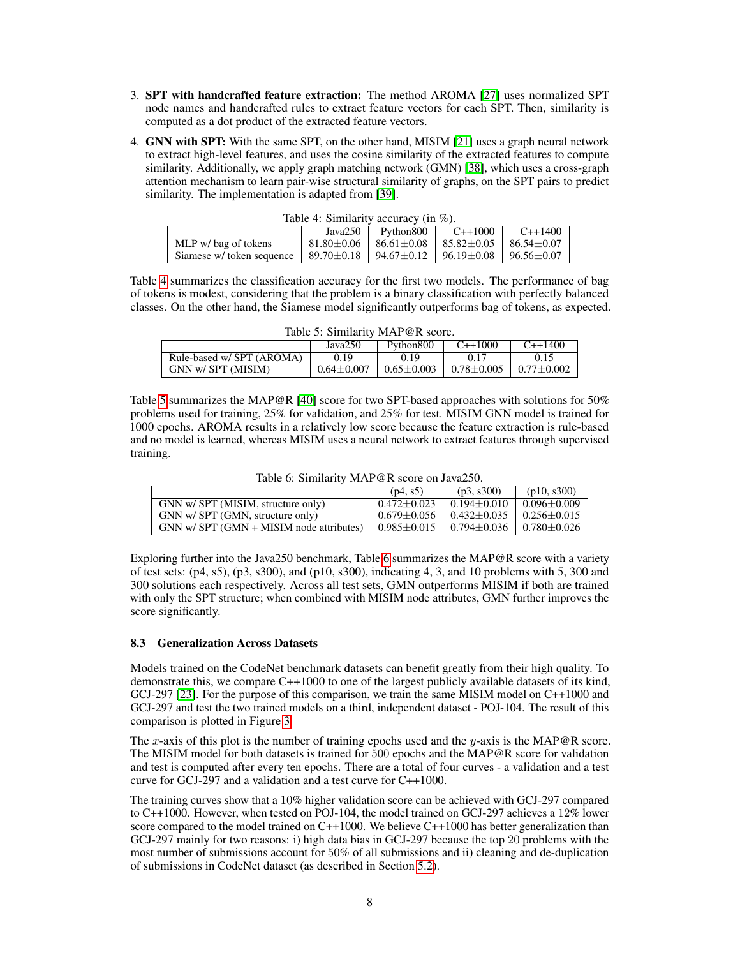- 3. SPT with handcrafted feature extraction: The method AROMA [\[27\]](#page-11-6) uses normalized SPT node names and handcrafted rules to extract feature vectors for each SPT. Then, similarity is computed as a dot product of the extracted feature vectors.
- 4. GNN with SPT: With the same SPT, on the other hand, MISIM [\[21\]](#page-11-0) uses a graph neural network to extract high-level features, and uses the cosine similarity of the extracted features to compute similarity. Additionally, we apply graph matching network (GMN) [\[38\]](#page-11-17), which uses a cross-graph attention mechanism to learn pair-wise structural similarity of graphs, on the SPT pairs to predict similarity. The implementation is adapted from [\[39\]](#page-11-18).

<span id="page-7-0"></span>

| Table 4: Similarity accuracy (in $\%$ ).             |                  |                    |                  |                  |  |
|------------------------------------------------------|------------------|--------------------|------------------|------------------|--|
| $C_{++}1400$<br>$C_{++}1000$<br>Java250<br>Python800 |                  |                    |                  |                  |  |
| MLP w/ bag of tokens                                 | $81.80 \pm 0.06$ | $86.61 {\pm} 0.08$ | $85.82 \pm 0.05$ | $86.54 + 0.07$   |  |
| Siamese w/ token sequence                            | $89.70 \pm 0.18$ | 94.67±0.12         | 96.19±0.08       | $96.56 \pm 0.07$ |  |

|  | Table 4: Similarity accuracy (in $\%$ ). |  |  |  |
|--|------------------------------------------|--|--|--|
|--|------------------------------------------|--|--|--|

Table [4](#page-7-0) summarizes the classification accuracy for the first two models. The performance of bag of tokens is modest, considering that the problem is a binary classification with perfectly balanced classes. On the other hand, the Siamese model significantly outperforms bag of tokens, as expected.

<span id="page-7-1"></span>

| Table 5: Similarity MAP@R score.                                 |                |                |                |                |  |  |
|------------------------------------------------------------------|----------------|----------------|----------------|----------------|--|--|
| Python <sub>800</sub><br>$C_{++}1000$<br>$C_{++}1400$<br>Java250 |                |                |                |                |  |  |
| Rule-based w/ SPT (AROMA)                                        | 0.19           | 0.19           | 0.17           | 0.15           |  |  |
| GNN w/ SPT (MISIM)                                               | $0.64 + 0.007$ | $0.65 + 0.003$ | $0.78 + 0.005$ | $0.77 + 0.002$ |  |  |

Table [5](#page-7-1) summarizes the MAP@R [\[40\]](#page-11-19) score for two SPT-based approaches with solutions for 50% problems used for training, 25% for validation, and 25% for test. MISIM GNN model is trained for 1000 epochs. AROMA results in a relatively low score because the feature extraction is rule-based and no model is learned, whereas MISIM uses a neural network to extract features through supervised training.

Table 6: Similarity MAP@R score on Java250.

<span id="page-7-2"></span>

|                                                | (p4, s5)                              | (p3, s300)        | (p10, s300)         |
|------------------------------------------------|---------------------------------------|-------------------|---------------------|
| GNN w/ SPT (MISIM, structure only)             | $0.472 + 0.023$                       | $0.194 \pm 0.010$ | $0.096 \pm 0.009$   |
| GNN w/ SPT (GMN, structure only)               | $0.679 \pm 0.056$   $0.432 \pm 0.035$ |                   | $0.256 \pm 0.015$   |
| $GNN$ w/ $SPT$ $(GMN + MISIM$ node attributes) | $0.985 \pm 0.015$                     | $0.794 \pm 0.036$ | $0.780 {\pm} 0.026$ |

Exploring further into the Java250 benchmark, Table [6](#page-7-2) summarizes the MAP@R score with a variety of test sets: (p4, s5), (p3, s300), and (p10, s300), indicating 4, 3, and 10 problems with 5, 300 and 300 solutions each respectively. Across all test sets, GMN outperforms MISIM if both are trained with only the SPT structure; when combined with MISIM node attributes, GMN further improves the score significantly.

#### 8.3 Generalization Across Datasets

Models trained on the CodeNet benchmark datasets can benefit greatly from their high quality. To demonstrate this, we compare C++1000 to one of the largest publicly available datasets of its kind, GCJ-297 [\[23\]](#page-11-2). For the purpose of this comparison, we train the same MISIM model on C++1000 and GCJ-297 and test the two trained models on a third, independent dataset - POJ-104. The result of this comparison is plotted in Figure [3.](#page-8-0)

The x-axis of this plot is the number of training epochs used and the y-axis is the MAP@R score. The MISIM model for both datasets is trained for 500 epochs and the MAP@R score for validation and test is computed after every ten epochs. There are a total of four curves - a validation and a test curve for GCJ-297 and a validation and a test curve for C++1000.

The training curves show that a 10% higher validation score can be achieved with GCJ-297 compared to C++1000. However, when tested on POJ-104, the model trained on GCJ-297 achieves a 12% lower score compared to the model trained on  $C_{++}1000$ . We believe  $C_{++}1000$  has better generalization than GCJ-297 mainly for two reasons: i) high data bias in GCJ-297 because the top 20 problems with the most number of submissions account for 50% of all submissions and ii) cleaning and de-duplication of submissions in CodeNet dataset (as described in Section [5.2\)](#page-4-1).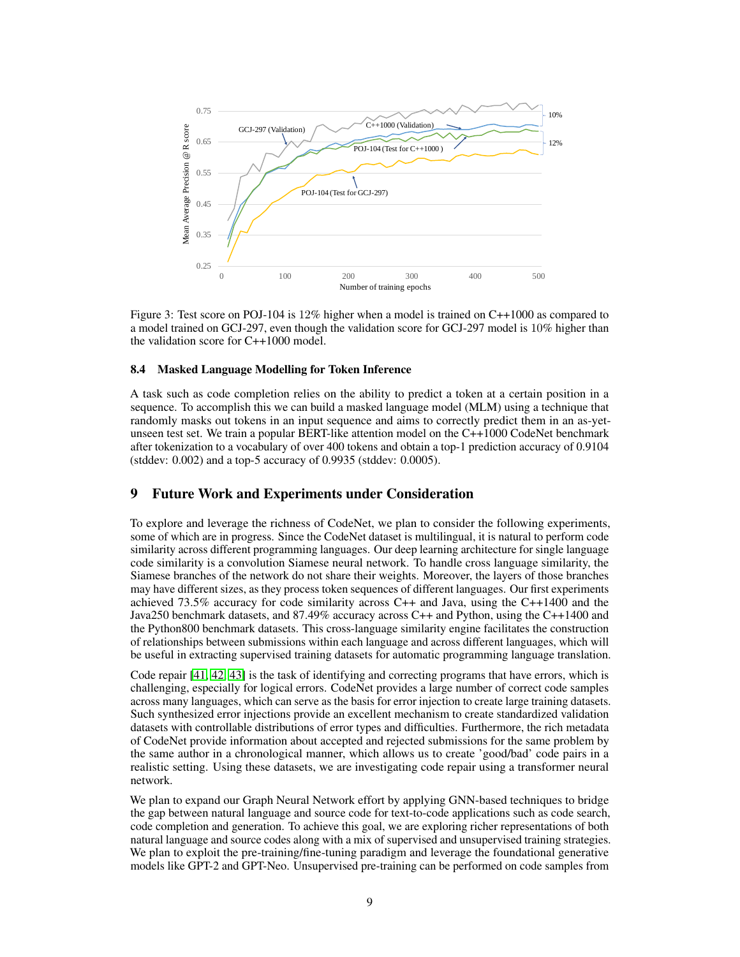<span id="page-8-0"></span>

Figure 3: Test score on POJ-104 is 12% higher when a model is trained on C++1000 as compared to a model trained on GCJ-297, even though the validation score for GCJ-297 model is 10% higher than the validation score for C++1000 model.

#### 8.4 Masked Language Modelling for Token Inference

A task such as code completion relies on the ability to predict a token at a certain position in a sequence. To accomplish this we can build a masked language model (MLM) using a technique that randomly masks out tokens in an input sequence and aims to correctly predict them in an as-yetunseen test set. We train a popular BERT-like attention model on the C++1000 CodeNet benchmark after tokenization to a vocabulary of over 400 tokens and obtain a top-1 prediction accuracy of 0.9104 (stddev: 0.002) and a top-5 accuracy of 0.9935 (stddev: 0.0005).

#### 9 Future Work and Experiments under Consideration

To explore and leverage the richness of CodeNet, we plan to consider the following experiments, some of which are in progress. Since the CodeNet dataset is multilingual, it is natural to perform code similarity across different programming languages. Our deep learning architecture for single language code similarity is a convolution Siamese neural network. To handle cross language similarity, the Siamese branches of the network do not share their weights. Moreover, the layers of those branches may have different sizes, as they process token sequences of different languages. Our first experiments achieved 73.5% accuracy for code similarity across C++ and Java, using the C++1400 and the Java250 benchmark datasets, and 87.49% accuracy across C++ and Python, using the C++1400 and the Python800 benchmark datasets. This cross-language similarity engine facilitates the construction of relationships between submissions within each language and across different languages, which will be useful in extracting supervised training datasets for automatic programming language translation.

Code repair [\[41,](#page-11-20) [42,](#page-12-0) [43\]](#page-12-1) is the task of identifying and correcting programs that have errors, which is challenging, especially for logical errors. CodeNet provides a large number of correct code samples across many languages, which can serve as the basis for error injection to create large training datasets. Such synthesized error injections provide an excellent mechanism to create standardized validation datasets with controllable distributions of error types and difficulties. Furthermore, the rich metadata of CodeNet provide information about accepted and rejected submissions for the same problem by the same author in a chronological manner, which allows us to create 'good/bad' code pairs in a realistic setting. Using these datasets, we are investigating code repair using a transformer neural network.

We plan to expand our Graph Neural Network effort by applying GNN-based techniques to bridge the gap between natural language and source code for text-to-code applications such as code search, code completion and generation. To achieve this goal, we are exploring richer representations of both natural language and source codes along with a mix of supervised and unsupervised training strategies. We plan to exploit the pre-training/fine-tuning paradigm and leverage the foundational generative models like GPT-2 and GPT-Neo. Unsupervised pre-training can be performed on code samples from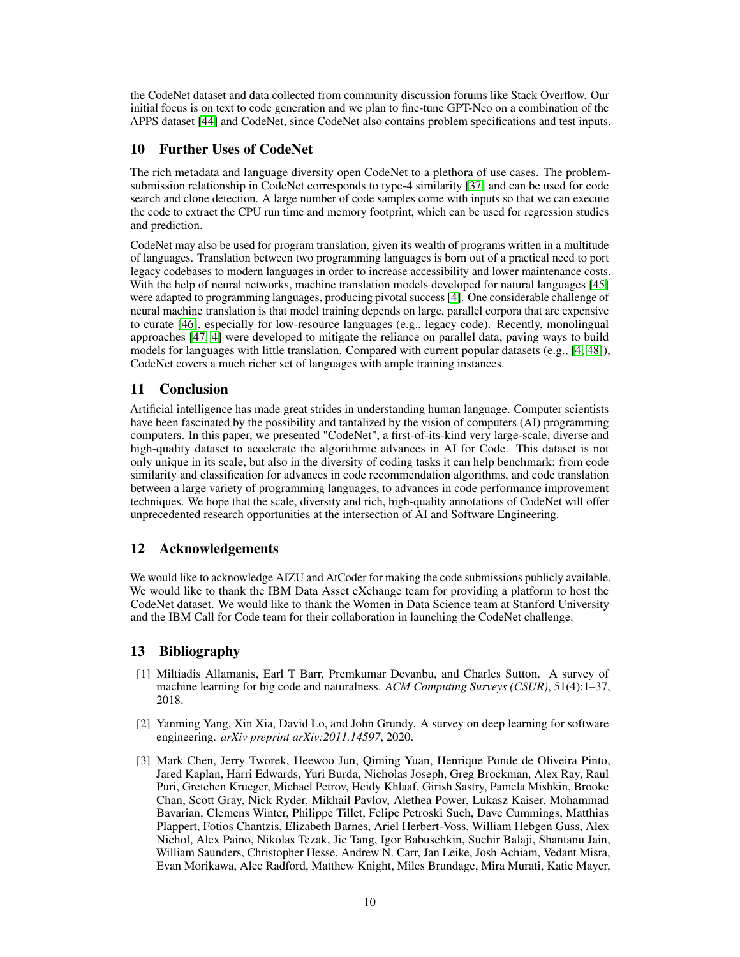the CodeNet dataset and data collected from community discussion forums like Stack Overflow. Our initial focus is on text to code generation and we plan to fine-tune GPT-Neo on a combination of the APPS dataset [\[44\]](#page-12-2) and CodeNet, since CodeNet also contains problem specifications and test inputs.

# 10 Further Uses of CodeNet

The rich metadata and language diversity open CodeNet to a plethora of use cases. The problemsubmission relationship in CodeNet corresponds to type-4 similarity [\[37\]](#page-11-16) and can be used for code search and clone detection. A large number of code samples come with inputs so that we can execute the code to extract the CPU run time and memory footprint, which can be used for regression studies and prediction.

CodeNet may also be used for program translation, given its wealth of programs written in a multitude of languages. Translation between two programming languages is born out of a practical need to port legacy codebases to modern languages in order to increase accessibility and lower maintenance costs. With the help of neural networks, machine translation models developed for natural languages [\[45\]](#page-12-3) were adapted to programming languages, producing pivotal success [\[4\]](#page-10-0). One considerable challenge of neural machine translation is that model training depends on large, parallel corpora that are expensive to curate [\[46\]](#page-12-4), especially for low-resource languages (e.g., legacy code). Recently, monolingual approaches [\[47,](#page-12-5) [4\]](#page-10-0) were developed to mitigate the reliance on parallel data, paving ways to build models for languages with little translation. Compared with current popular datasets (e.g., [\[4,](#page-10-0) [48\]](#page-12-6)), CodeNet covers a much richer set of languages with ample training instances.

## 11 Conclusion

Artificial intelligence has made great strides in understanding human language. Computer scientists have been fascinated by the possibility and tantalized by the vision of computers (AI) programming computers. In this paper, we presented "CodeNet", a first-of-its-kind very large-scale, diverse and high-quality dataset to accelerate the algorithmic advances in AI for Code. This dataset is not only unique in its scale, but also in the diversity of coding tasks it can help benchmark: from code similarity and classification for advances in code recommendation algorithms, and code translation between a large variety of programming languages, to advances in code performance improvement techniques. We hope that the scale, diversity and rich, high-quality annotations of CodeNet will offer unprecedented research opportunities at the intersection of AI and Software Engineering.

# 12 Acknowledgements

We would like to acknowledge AIZU and AtCoder for making the code submissions publicly available. We would like to thank the IBM Data Asset eXchange team for providing a platform to host the CodeNet dataset. We would like to thank the Women in Data Science team at Stanford University and the IBM Call for Code team for their collaboration in launching the CodeNet challenge.

## 13 Bibliography

- <span id="page-9-0"></span>[1] Miltiadis Allamanis, Earl T Barr, Premkumar Devanbu, and Charles Sutton. A survey of machine learning for big code and naturalness. *ACM Computing Surveys (CSUR)*, 51(4):1–37, 2018.
- <span id="page-9-1"></span>[2] Yanming Yang, Xin Xia, David Lo, and John Grundy. A survey on deep learning for software engineering. *arXiv preprint arXiv:2011.14597*, 2020.
- <span id="page-9-2"></span>[3] Mark Chen, Jerry Tworek, Heewoo Jun, Qiming Yuan, Henrique Ponde de Oliveira Pinto, Jared Kaplan, Harri Edwards, Yuri Burda, Nicholas Joseph, Greg Brockman, Alex Ray, Raul Puri, Gretchen Krueger, Michael Petrov, Heidy Khlaaf, Girish Sastry, Pamela Mishkin, Brooke Chan, Scott Gray, Nick Ryder, Mikhail Pavlov, Alethea Power, Lukasz Kaiser, Mohammad Bavarian, Clemens Winter, Philippe Tillet, Felipe Petroski Such, Dave Cummings, Matthias Plappert, Fotios Chantzis, Elizabeth Barnes, Ariel Herbert-Voss, William Hebgen Guss, Alex Nichol, Alex Paino, Nikolas Tezak, Jie Tang, Igor Babuschkin, Suchir Balaji, Shantanu Jain, William Saunders, Christopher Hesse, Andrew N. Carr, Jan Leike, Josh Achiam, Vedant Misra, Evan Morikawa, Alec Radford, Matthew Knight, Miles Brundage, Mira Murati, Katie Mayer,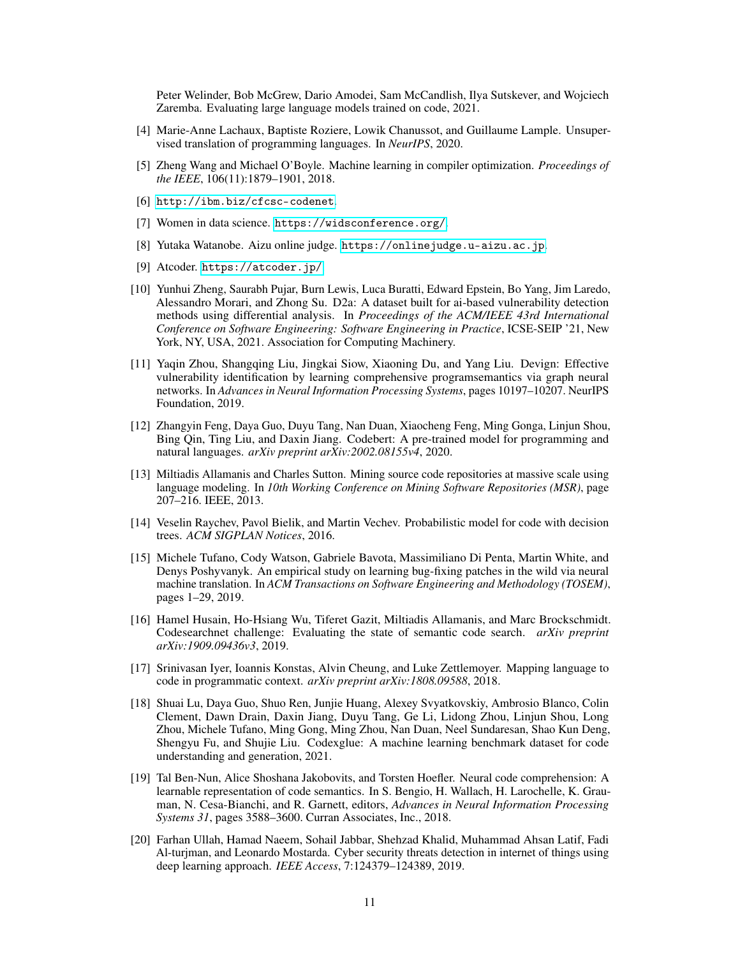Peter Welinder, Bob McGrew, Dario Amodei, Sam McCandlish, Ilya Sutskever, and Wojciech Zaremba. Evaluating large language models trained on code, 2021.

- <span id="page-10-0"></span>[4] Marie-Anne Lachaux, Baptiste Roziere, Lowik Chanussot, and Guillaume Lample. Unsupervised translation of programming languages. In *NeurIPS*, 2020.
- <span id="page-10-1"></span>[5] Zheng Wang and Michael O'Boyle. Machine learning in compiler optimization. *Proceedings of the IEEE*, 106(11):1879–1901, 2018.
- <span id="page-10-2"></span>[6] <http://ibm.biz/cfcsc-codenet>.
- <span id="page-10-3"></span>[7] Women in data science. <https://widsconference.org/>.
- <span id="page-10-4"></span>[8] Yutaka Watanobe. Aizu online judge. <https://onlinejudge.u-aizu.ac.jp>.
- <span id="page-10-5"></span>[9] Atcoder. <https://atcoder.jp/>.
- <span id="page-10-6"></span>[10] Yunhui Zheng, Saurabh Pujar, Burn Lewis, Luca Buratti, Edward Epstein, Bo Yang, Jim Laredo, Alessandro Morari, and Zhong Su. D2a: A dataset built for ai-based vulnerability detection methods using differential analysis. In *Proceedings of the ACM/IEEE 43rd International Conference on Software Engineering: Software Engineering in Practice*, ICSE-SEIP '21, New York, NY, USA, 2021. Association for Computing Machinery.
- <span id="page-10-7"></span>[11] Yaqin Zhou, Shangqing Liu, Jingkai Siow, Xiaoning Du, and Yang Liu. Devign: Effective vulnerability identification by learning comprehensive programsemantics via graph neural networks. In *Advances in Neural Information Processing Systems*, pages 10197–10207. NeurIPS Foundation, 2019.
- <span id="page-10-8"></span>[12] Zhangyin Feng, Daya Guo, Duyu Tang, Nan Duan, Xiaocheng Feng, Ming Gonga, Linjun Shou, Bing Qin, Ting Liu, and Daxin Jiang. Codebert: A pre-trained model for programming and natural languages. *arXiv preprint arXiv:2002.08155v4*, 2020.
- <span id="page-10-9"></span>[13] Miltiadis Allamanis and Charles Sutton. Mining source code repositories at massive scale using language modeling. In *10th Working Conference on Mining Software Repositories (MSR)*, page 207–216. IEEE, 2013.
- <span id="page-10-10"></span>[14] Veselin Raychev, Pavol Bielik, and Martin Vechev. Probabilistic model for code with decision trees. *ACM SIGPLAN Notices*, 2016.
- <span id="page-10-11"></span>[15] Michele Tufano, Cody Watson, Gabriele Bavota, Massimiliano Di Penta, Martin White, and Denys Poshyvanyk. An empirical study on learning bug-fixing patches in the wild via neural machine translation. In *ACM Transactions on Software Engineering and Methodology (TOSEM)*, pages 1–29, 2019.
- <span id="page-10-12"></span>[16] Hamel Husain, Ho-Hsiang Wu, Tiferet Gazit, Miltiadis Allamanis, and Marc Brockschmidt. Codesearchnet challenge: Evaluating the state of semantic code search. *arXiv preprint arXiv:1909.09436v3*, 2019.
- <span id="page-10-13"></span>[17] Srinivasan Iyer, Ioannis Konstas, Alvin Cheung, and Luke Zettlemoyer. Mapping language to code in programmatic context. *arXiv preprint arXiv:1808.09588*, 2018.
- <span id="page-10-14"></span>[18] Shuai Lu, Daya Guo, Shuo Ren, Junjie Huang, Alexey Svyatkovskiy, Ambrosio Blanco, Colin Clement, Dawn Drain, Daxin Jiang, Duyu Tang, Ge Li, Lidong Zhou, Linjun Shou, Long Zhou, Michele Tufano, Ming Gong, Ming Zhou, Nan Duan, Neel Sundaresan, Shao Kun Deng, Shengyu Fu, and Shujie Liu. Codexglue: A machine learning benchmark dataset for code understanding and generation, 2021.
- <span id="page-10-15"></span>[19] Tal Ben-Nun, Alice Shoshana Jakobovits, and Torsten Hoefler. Neural code comprehension: A learnable representation of code semantics. In S. Bengio, H. Wallach, H. Larochelle, K. Grauman, N. Cesa-Bianchi, and R. Garnett, editors, *Advances in Neural Information Processing Systems 31*, pages 3588–3600. Curran Associates, Inc., 2018.
- <span id="page-10-16"></span>[20] Farhan Ullah, Hamad Naeem, Sohail Jabbar, Shehzad Khalid, Muhammad Ahsan Latif, Fadi Al-turjman, and Leonardo Mostarda. Cyber security threats detection in internet of things using deep learning approach. *IEEE Access*, 7:124379–124389, 2019.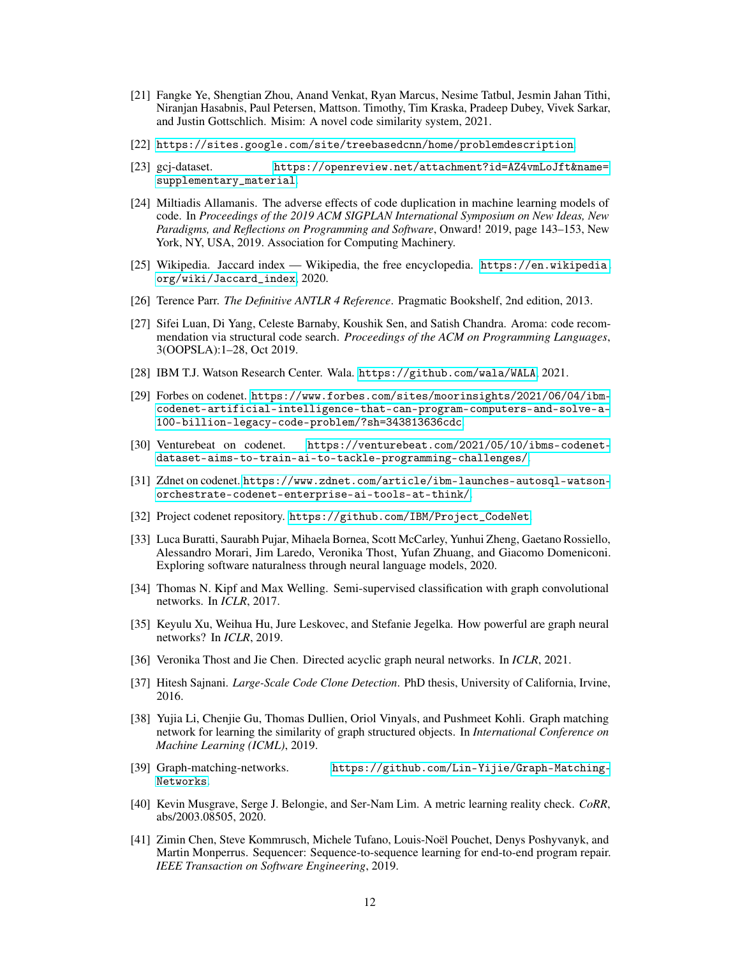- <span id="page-11-0"></span>[21] Fangke Ye, Shengtian Zhou, Anand Venkat, Ryan Marcus, Nesime Tatbul, Jesmin Jahan Tithi, Niranjan Hasabnis, Paul Petersen, Mattson. Timothy, Tim Kraska, Pradeep Dubey, Vivek Sarkar, and Justin Gottschlich. Misim: A novel code similarity system, 2021.
- <span id="page-11-1"></span>[22] [https://sites.google.com/site/treebasedcnn/home/problemdescription](https://sites.google.com/site/treebasedcnn/home/problemdescription ).
- <span id="page-11-2"></span>[23] gcj-dataset. [https://openreview.net/attachment?id=AZ4vmLoJft&name=](https://openreview.net/attachment?id=AZ4vmLoJft&name=supplementary_material) [supplementary\\_material](https://openreview.net/attachment?id=AZ4vmLoJft&name=supplementary_material).
- <span id="page-11-3"></span>[24] Miltiadis Allamanis. The adverse effects of code duplication in machine learning models of code. In *Proceedings of the 2019 ACM SIGPLAN International Symposium on New Ideas, New Paradigms, and Reflections on Programming and Software*, Onward! 2019, page 143–153, New York, NY, USA, 2019. Association for Computing Machinery.
- <span id="page-11-4"></span>[25] Wikipedia. Jaccard index — Wikipedia, the free encyclopedia. [https://en.wikipedia.](https://en.wikipedia.org/wiki/Jaccard_index) [org/wiki/Jaccard\\_index](https://en.wikipedia.org/wiki/Jaccard_index), 2020.
- <span id="page-11-5"></span>[26] Terence Parr. *The Definitive ANTLR 4 Reference*. Pragmatic Bookshelf, 2nd edition, 2013.
- <span id="page-11-6"></span>[27] Sifei Luan, Di Yang, Celeste Barnaby, Koushik Sen, and Satish Chandra. Aroma: code recommendation via structural code search. *Proceedings of the ACM on Programming Languages*, 3(OOPSLA):1–28, Oct 2019.
- <span id="page-11-7"></span>[28] IBM T.J. Watson Research Center. Wala. <https://github.com/wala/WALA>, 2021.
- <span id="page-11-8"></span>[29] Forbes on codenet. [https://www.forbes.com/sites/moorinsights/2021/06/04/ibm](https://www.forbes.com/sites/moorinsights/2021/06/04/ibm-codenet-artificial-intelligence-that-can-program-computers-and-solve-a-100-billion-legacy-code-problem/?sh=343813636cdc)[codenet-artificial-intelligence-that-can-program-computers-and-solve-a-](https://www.forbes.com/sites/moorinsights/2021/06/04/ibm-codenet-artificial-intelligence-that-can-program-computers-and-solve-a-100-billion-legacy-code-problem/?sh=343813636cdc)[100-billion-legacy-code-problem/?sh=343813636cdc](https://www.forbes.com/sites/moorinsights/2021/06/04/ibm-codenet-artificial-intelligence-that-can-program-computers-and-solve-a-100-billion-legacy-code-problem/?sh=343813636cdc).
- <span id="page-11-9"></span>[30] Venturebeat on codenet. [https://venturebeat.com/2021/05/10/ibms-codenet](https://venturebeat.com/2021/05/10/ibms-codenet-dataset-aims-to-train-ai-to-tackle-programming-challenges/)[dataset-aims-to-train-ai-to-tackle-programming-challenges/](https://venturebeat.com/2021/05/10/ibms-codenet-dataset-aims-to-train-ai-to-tackle-programming-challenges/).
- <span id="page-11-10"></span>[31] Zdnet on codenet. [https://www.zdnet.com/article/ibm-launches-autosql-watson](https://www.zdnet.com/article/ibm-launches-autosql-watson-orchestrate-codenet-enterprise-ai-tools-at-think/)[orchestrate-codenet-enterprise-ai-tools-at-think/](https://www.zdnet.com/article/ibm-launches-autosql-watson-orchestrate-codenet-enterprise-ai-tools-at-think/).
- <span id="page-11-11"></span>[32] Project codenet repository. [https://github.com/IBM/Project\\_CodeNet](https://github.com/IBM/Project_CodeNet).
- <span id="page-11-12"></span>[33] Luca Buratti, Saurabh Pujar, Mihaela Bornea, Scott McCarley, Yunhui Zheng, Gaetano Rossiello, Alessandro Morari, Jim Laredo, Veronika Thost, Yufan Zhuang, and Giacomo Domeniconi. Exploring software naturalness through neural language models, 2020.
- <span id="page-11-13"></span>[34] Thomas N. Kipf and Max Welling. Semi-supervised classification with graph convolutional networks. In *ICLR*, 2017.
- <span id="page-11-14"></span>[35] Keyulu Xu, Weihua Hu, Jure Leskovec, and Stefanie Jegelka. How powerful are graph neural networks? In *ICLR*, 2019.
- <span id="page-11-15"></span>[36] Veronika Thost and Jie Chen. Directed acyclic graph neural networks. In *ICLR*, 2021.
- <span id="page-11-16"></span>[37] Hitesh Sajnani. *Large-Scale Code Clone Detection*. PhD thesis, University of California, Irvine, 2016.
- <span id="page-11-17"></span>[38] Yujia Li, Chenjie Gu, Thomas Dullien, Oriol Vinyals, and Pushmeet Kohli. Graph matching network for learning the similarity of graph structured objects. In *International Conference on Machine Learning (ICML)*, 2019.
- <span id="page-11-18"></span>[39] Graph-matching-networks. [https://github.com/Lin-Yijie/Graph-Matching-](https://github.com/Lin-Yijie/Graph-Matching-Networks)[Networks](https://github.com/Lin-Yijie/Graph-Matching-Networks).
- <span id="page-11-19"></span>[40] Kevin Musgrave, Serge J. Belongie, and Ser-Nam Lim. A metric learning reality check. *CoRR*, abs/2003.08505, 2020.
- <span id="page-11-20"></span>[41] Zimin Chen, Steve Kommrusch, Michele Tufano, Louis-Noël Pouchet, Denys Poshyvanyk, and Martin Monperrus. Sequencer: Sequence-to-sequence learning for end-to-end program repair. *IEEE Transaction on Software Engineering*, 2019.